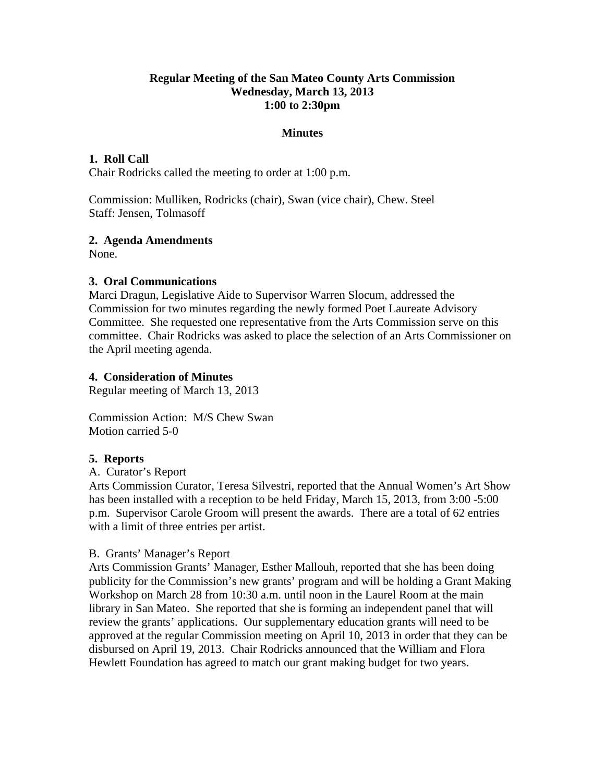#### **Regular Meeting of the San Mateo County Arts Commission Wednesday, March 13, 2013 1:00 to 2:30pm**

#### **Minutes**

#### **1. Roll Call**

Chair Rodricks called the meeting to order at 1:00 p.m.

Commission: Mulliken, Rodricks (chair), Swan (vice chair), Chew. Steel Staff: Jensen, Tolmasoff

#### **2. Agenda Amendments**

None.

### **3. Oral Communications**

Marci Dragun, Legislative Aide to Supervisor Warren Slocum, addressed the Commission for two minutes regarding the newly formed Poet Laureate Advisory Committee. She requested one representative from the Arts Commission serve on this committee. Chair Rodricks was asked to place the selection of an Arts Commissioner on the April meeting agenda.

#### **4. Consideration of Minutes**

Regular meeting of March 13, 2013

Commission Action: M/S Chew Swan Motion carried 5-0

#### **5. Reports**

A. Curator's Report

Arts Commission Curator, Teresa Silvestri, reported that the Annual Women's Art Show has been installed with a reception to be held Friday, March 15, 2013, from 3:00 -5:00 p.m. Supervisor Carole Groom will present the awards. There are a total of 62 entries with a limit of three entries per artist.

#### B. Grants' Manager's Report

Arts Commission Grants' Manager, Esther Mallouh, reported that she has been doing publicity for the Commission's new grants' program and will be holding a Grant Making Workshop on March 28 from 10:30 a.m. until noon in the Laurel Room at the main library in San Mateo. She reported that she is forming an independent panel that will review the grants' applications. Our supplementary education grants will need to be approved at the regular Commission meeting on April 10, 2013 in order that they can be disbursed on April 19, 2013. Chair Rodricks announced that the William and Flora Hewlett Foundation has agreed to match our grant making budget for two years.